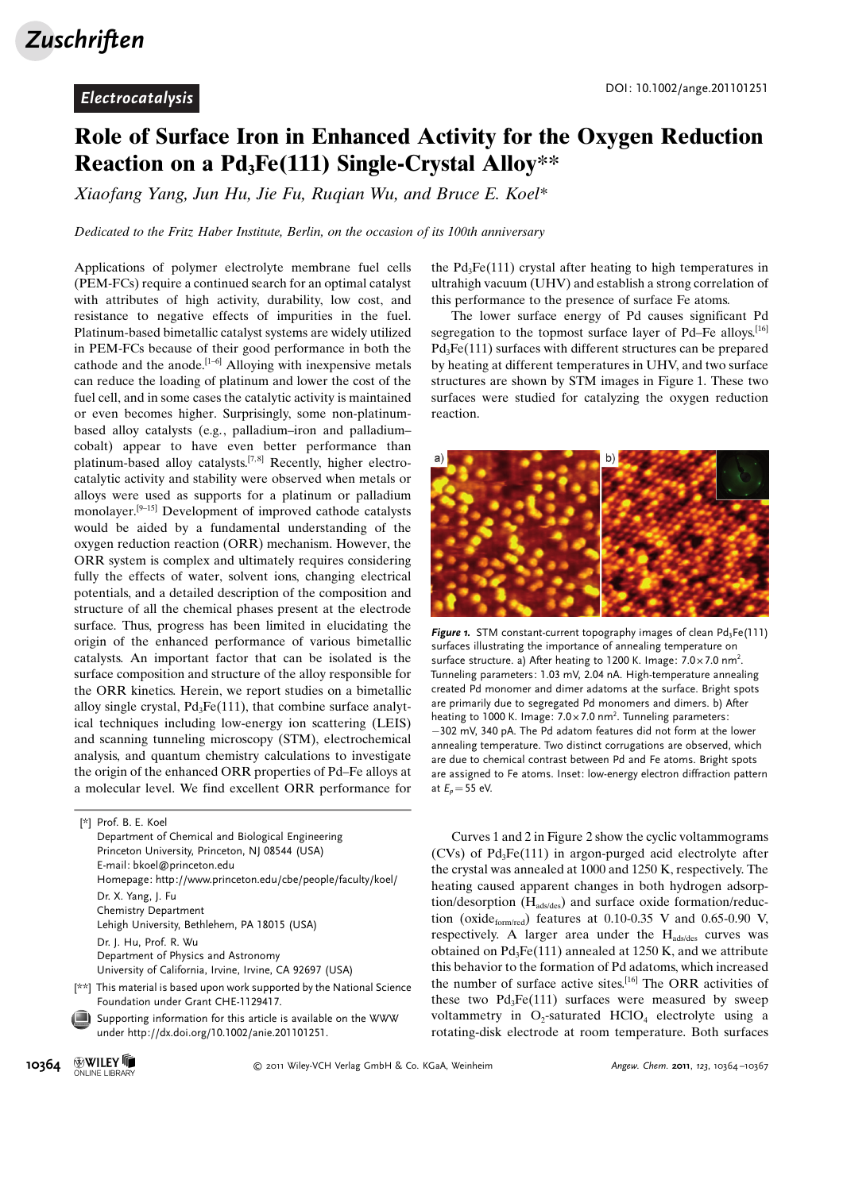## Role of Surface Iron in Enhanced Activity for the Oxygen Reduction Reaction on a  $Pd_3Fe(111)$  Single-Crystal Alloy\*\*

Xiaofang Yang, Jun Hu, Jie Fu, Ruqian Wu, and Bruce E. Koel\*

Dedicated to the Fritz Haber Institute, Berlin, on the occasion of its 100th anniversary

Applications of polymer electrolyte membrane fuel cells (PEM-FCs) require a continued search for an optimal catalyst with attributes of high activity, durability, low cost, and resistance to negative effects of impurities in the fuel. Platinum-based bimetallic catalyst systems are widely utilized in PEM-FCs because of their good performance in both the cathode and the anode.<sup>[1-6]</sup> Alloying with inexpensive metals can reduce the loading of platinum and lower the cost of the fuel cell, and in some cases the catalytic activity is maintained or even becomes higher. Surprisingly, some non-platinumbased alloy catalysts (e.g., palladium–iron and palladium– cobalt) appear to have even better performance than platinum-based alloy catalysts.<sup>[7,8]</sup> Recently, higher electrocatalytic activity and stability were observed when metals or alloys were used as supports for a platinum or palladium monolayer.[9–15] Development of improved cathode catalysts would be aided by a fundamental understanding of the oxygen reduction reaction (ORR) mechanism. However, the ORR system is complex and ultimately requires considering fully the effects of water, solvent ions, changing electrical potentials, and a detailed description of the composition and structure of all the chemical phases present at the electrode surface. Thus, progress has been limited in elucidating the origin of the enhanced performance of various bimetallic catalysts. An important factor that can be isolated is the surface composition and structure of the alloy responsible for the ORR kinetics. Herein, we report studies on a bimetallic alloy single crystal,  $Pd_3Fe(111)$ , that combine surface analytical techniques including low-energy ion scattering (LEIS) and scanning tunneling microscopy (STM), electrochemical analysis, and quantum chemistry calculations to investigate the origin of the enhanced ORR properties of Pd–Fe alloys at a molecular level. We find excellent ORR performance for

[\*] Prof. B. E. Koel

- Department of Chemical and Biological Engineering Princeton University, Princeton, NJ 08544 (USA) E-mail: bkoel@princeton.edu Homepage: http://www.princeton.edu/cbe/people/faculty/koel/ Dr. X. Yang, J. Fu Chemistry Department Lehigh University, Bethlehem, PA 18015 (USA) Dr. J. Hu, Prof. R. Wu Department of Physics and Astronomy University of California, Irvine, Irvine, CA 92697 (USA)
- [\*\*] This material is based upon work supported by the National Science Foundation under Grant CHE-1129417.
- Supporting information for this article is available on the WWW under<http://dx.doi.org/10.1002/anie.201101251>.

the  $Pd_3Fe(111)$  crystal after heating to high temperatures in ultrahigh vacuum (UHV) and establish a strong correlation of this performance to the presence of surface Fe atoms.

The lower surface energy of Pd causes significant Pd segregation to the topmost surface layer of Pd–Fe alloys.<sup>[16]</sup>  $Pd_3Fe(111)$  surfaces with different structures can be prepared by heating at different temperatures in UHV, and two surface structures are shown by STM images in Figure 1. These two surfaces were studied for catalyzing the oxygen reduction reaction.



Figure 1. STM constant-current topography images of clean  $Pd_3Fe(111)$ surfaces illustrating the importance of annealing temperature on surface structure. a) After heating to 1200 K. Image:  $7.0 \times 7.0$  nm<sup>2</sup>. Tunneling parameters: 1.03 mV, 2.04 nA. High-temperature annealing created Pd monomer and dimer adatoms at the surface. Bright spots are primarily due to segregated Pd monomers and dimers. b) After heating to 1000 K. Image:  $7.0 \times 7.0$  nm<sup>2</sup>. Tunneling parameters: -302 mV, 340 pA. The Pd adatom features did not form at the lower annealing temperature. Two distinct corrugations are observed, which are due to chemical contrast between Pd and Fe atoms. Bright spots are assigned to Fe atoms. Inset: low-energy electron diffraction pattern at  $E_p$  = 55 eV.

Curves 1 and 2 in Figure 2 show the cyclic voltammograms  $(CVs)$  of Pd<sub>3</sub>Fe $(111)$  in argon-purged acid electrolyte after the crystal was annealed at 1000 and 1250 K, respectively. The heating caused apparent changes in both hydrogen adsorption/desorption  $(H_{ads/des})$  and surface oxide formation/reduction (oxide $_{\text{form/red}}$ ) features at 0.10-0.35 V and 0.65-0.90 V, respectively. A larger area under the  $H_{ads/des}$  curves was obtained on  $Pd_3Fe(111)$  annealed at 1250 K, and we attribute this behavior to the formation of Pd adatoms, which increased the number of surface active sites.[16] The ORR activities of these two  $Pd_3Fe(111)$  surfaces were measured by sweep voltammetry in  $O_2$ -saturated  $HClO_4$  electrolyte using a rotating-disk electrode at room temperature. Both surfaces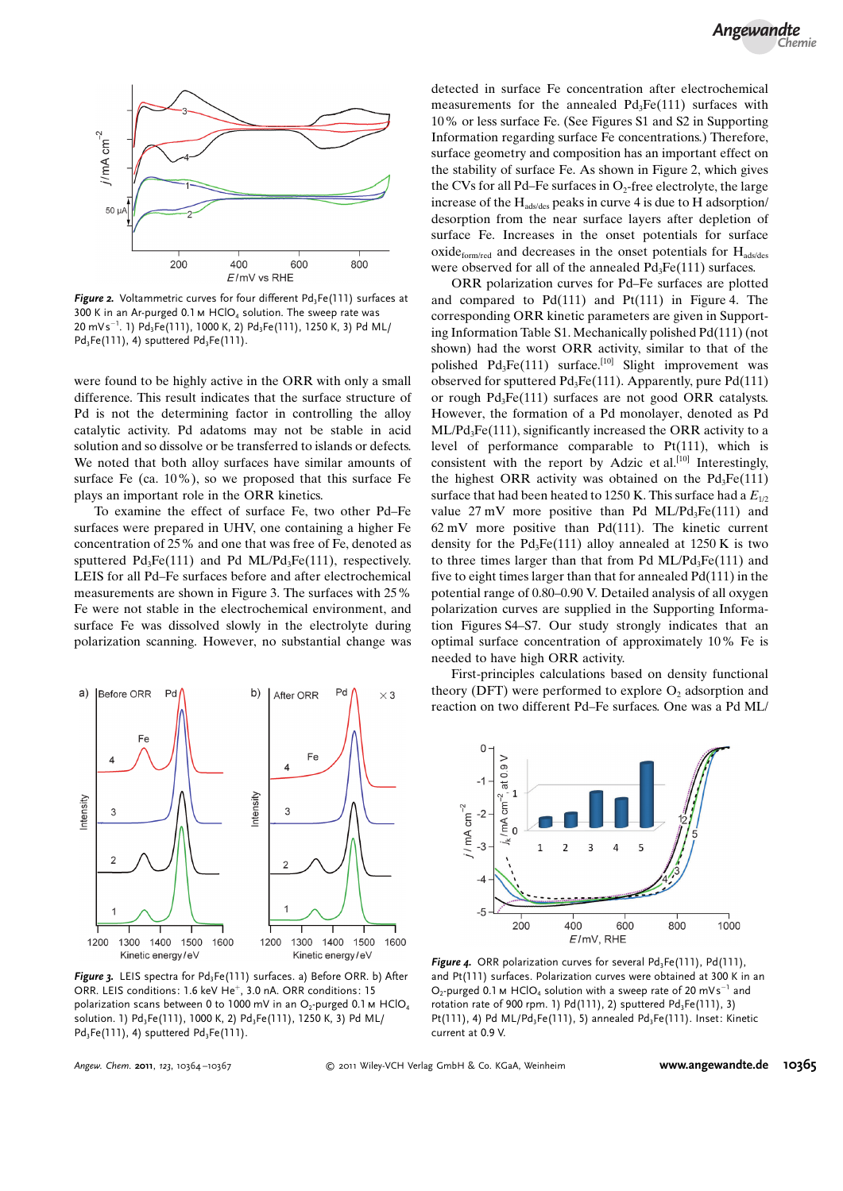

Figure 2. Voltammetric curves for four different  $Pd_3Fe(111)$  surfaces at 300 K in an Ar-purged 0.1 m  $HClO<sub>4</sub>$  solution. The sweep rate was 20 mVs $^{-1}$ . 1) Pd $_3$ Fe(111), 1000 K, 2) Pd $_3$ Fe(111), 1250 K, 3) Pd ML/  $Pd_3Fe(111), 4$ ) sputtered  $Pd_3Fe(111).$ 

were found to be highly active in the ORR with only a small difference. This result indicates that the surface structure of Pd is not the determining factor in controlling the alloy catalytic activity. Pd adatoms may not be stable in acid solution and so dissolve or be transferred to islands or defects. We noted that both alloy surfaces have similar amounts of surface Fe (ca. 10%), so we proposed that this surface Fe plays an important role in the ORR kinetics.

To examine the effect of surface Fe, two other Pd–Fe surfaces were prepared in UHV, one containing a higher Fe concentration of 25% and one that was free of Fe, denoted as sputtered  $Pd_3Fe(111)$  and Pd ML/Pd<sub>3</sub>Fe(111), respectively. LEIS for all Pd–Fe surfaces before and after electrochemical measurements are shown in Figure 3. The surfaces with 25% Fe were not stable in the electrochemical environment, and surface Fe was dissolved slowly in the electrolyte during polarization scanning. However, no substantial change was



Figure 3. LEIS spectra for Pd<sub>3</sub>Fe(111) surfaces. a) Before ORR. b) After ORR. LEIS conditions: 1.6 keV He<sup>+</sup>, 3.0 nA. ORR conditions: 15 polarization scans between 0 to 1000 mV in an  $O_2$ -purged 0.1 m HClO<sub>4</sub> solution. 1) Pd<sub>3</sub>Fe(111), 1000 K, 2) Pd<sub>3</sub>Fe(111), 1250 K, 3) Pd ML/ Pd<sub>2</sub>Fe(111), 4) sputtered Pd<sub>2</sub>Fe(111).

detected in surface Fe concentration after electrochemical measurements for the annealed  $Pd_3Fe(111)$  surfaces with 10% or less surface Fe. (See Figures S1 and S2 in Supporting Information regarding surface Fe concentrations.) Therefore, surface geometry and composition has an important effect on the stability of surface Fe. As shown in Figure 2, which gives the CVs for all Pd–Fe surfaces in  $O_2$ -free electrolyte, the large increase of the  $H_{ads/des}$  peaks in curve 4 is due to H adsorption/ desorption from the near surface layers after depletion of surface Fe. Increases in the onset potentials for surface  $oxide_{form/red}$  and decreases in the onset potentials for  $H_{ads/des}$ were observed for all of the annealed Pd<sub>3</sub>Fe(111) surfaces.

ORR polarization curves for Pd–Fe surfaces are plotted and compared to  $Pd(111)$  and  $Pf(111)$  in Figure 4. The corresponding ORR kinetic parameters are given in Supporting Information Table S1. Mechanically polished Pd(111) (not shown) had the worst ORR activity, similar to that of the polished  $Pd_3Fe(111)$  surface.<sup>[10]</sup> Slight improvement was observed for sputtered  $Pd_3Fe(111)$ . Apparently, pure  $Pd(111)$ or rough  $Pd_3Fe(111)$  surfaces are not good ORR catalysts. However, the formation of a Pd monolayer, denoted as Pd  $ML/Pd_3Fe(111)$ , significantly increased the ORR activity to a level of performance comparable to Pt(111), which is consistent with the report by Adzic et al. $[10]$  Interestingly, the highest ORR activity was obtained on the  $Pd_3Fe(111)$ surface that had been heated to 1250 K. This surface had a  $E_{1/2}$ value  $27 \text{ mV}$  more positive than Pd ML/Pd<sub>3</sub>Fe(111) and 62 mV more positive than Pd(111). The kinetic current density for the  $Pd_3Fe(111)$  alloy annealed at 1250 K is two to three times larger than that from Pd  $ML/Pd_3Fe(111)$  and five to eight times larger than that for annealed Pd(111) in the potential range of 0.80–0.90 V. Detailed analysis of all oxygen polarization curves are supplied in the Supporting Information Figures S4–S7. Our study strongly indicates that an optimal surface concentration of approximately 10% Fe is needed to have high ORR activity.

First-principles calculations based on density functional theory (DFT) were performed to explore  $O<sub>2</sub>$  adsorption and reaction on two different Pd–Fe surfaces. One was a Pd ML/



Figure 4. ORR polarization curves for several  $Pd_3Fe(111)$ ,  $Pd(111)$ , and Pt(111) surfaces. Polarization curves were obtained at 300 K in an  $O_2$ -purged 0.1 m HClO<sub>4</sub> solution with a sweep rate of 20 mVs<sup>-1</sup> and rotation rate of 900 rpm. 1)  $Pd(111)$ , 2) sputtered  $Pd_3Fe(111)$ , 3) Pt(111), 4) Pd ML/Pd<sub>3</sub>Fe(111), 5) annealed Pd<sub>3</sub>Fe(111). Inset: Kinetic current at 0.9 V.

Angew. Chem. 2011, 123, 10364-10367

2011 Wiley-VCH Verlag GmbH & Co. KGaA, Weinheim [www.angewandte.de](http://www.angewandte.de) 10365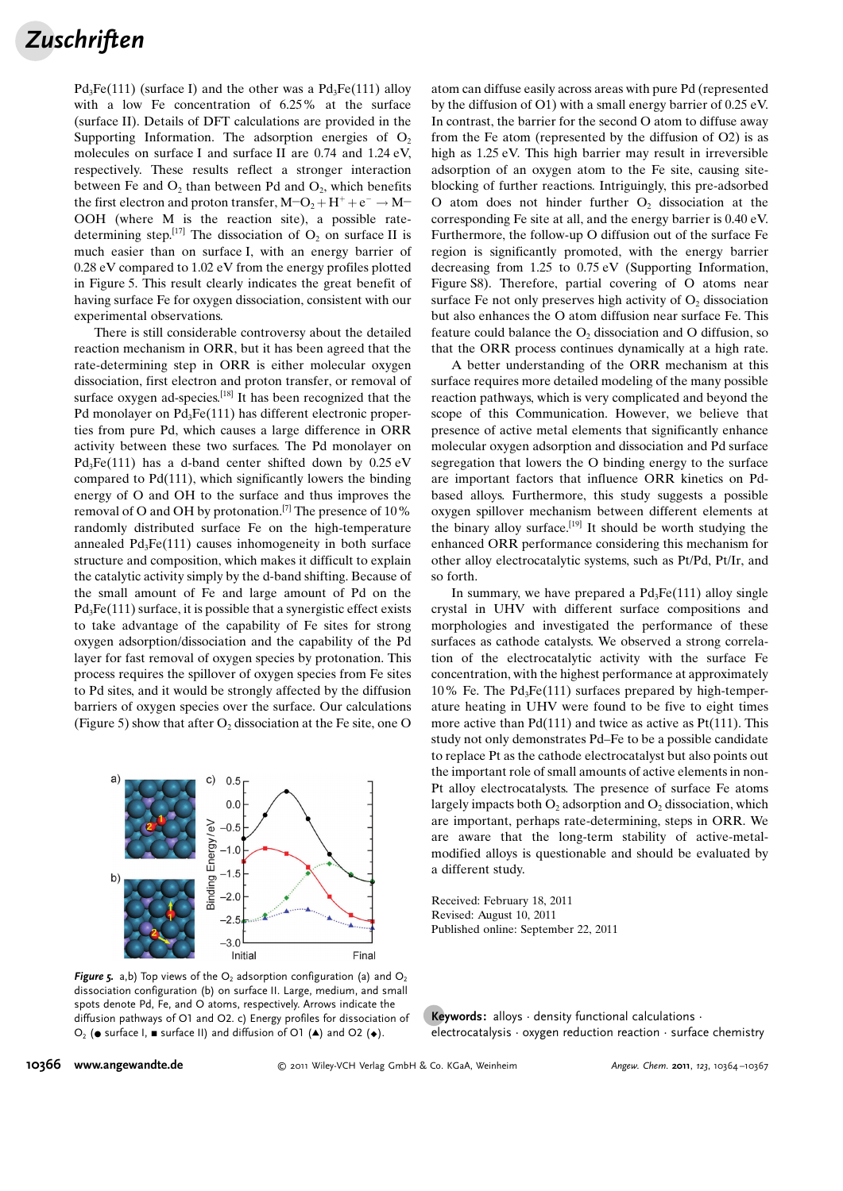## **Zuschriften**

 $Pd_3Fe(111)$  (surface I) and the other was a  $Pd_3Fe(111)$  alloy with a low Fe concentration of 6.25% at the surface (surface II). Details of DFT calculations are provided in the Supporting Information. The adsorption energies of  $O_2$ molecules on surface I and surface II are 0.74 and 1.24 eV, respectively. These results reflect a stronger interaction between Fe and  $O_2$ , than between Pd and  $O_2$ , which benefits the first electron and proton transfer,  $M$ – $O_2 + H^+ + e^- \rightarrow M$ – OOH (where M is the reaction site), a possible ratedetermining step.<sup>[17]</sup> The dissociation of  $O_2$  on surface II is much easier than on surface I, with an energy barrier of 0.28 eV compared to 1.02 eV from the energy profiles plotted in Figure 5. This result clearly indicates the great benefit of having surface Fe for oxygen dissociation, consistent with our experimental observations.

There is still considerable controversy about the detailed reaction mechanism in ORR, but it has been agreed that the rate-determining step in ORR is either molecular oxygen dissociation, first electron and proton transfer, or removal of surface oxygen ad-species.<sup>[18]</sup> It has been recognized that the Pd monolayer on Pd<sub>3</sub>Fe(111) has different electronic properties from pure Pd, which causes a large difference in ORR activity between these two surfaces. The Pd monolayer on  $Pd_3Fe(111)$  has a d-band center shifted down by 0.25 eV compared to Pd(111), which significantly lowers the binding energy of O and OH to the surface and thus improves the removal of O and OH by protonation.[7] The presence of 10% randomly distributed surface Fe on the high-temperature annealed  $Pd_3Fe(111)$  causes inhomogeneity in both surface structure and composition, which makes it difficult to explain the catalytic activity simply by the d-band shifting. Because of the small amount of Fe and large amount of Pd on the  $Pd_3Fe(111)$  surface, it is possible that a synergistic effect exists to take advantage of the capability of Fe sites for strong oxygen adsorption/dissociation and the capability of the Pd layer for fast removal of oxygen species by protonation. This process requires the spillover of oxygen species from Fe sites to Pd sites, and it would be strongly affected by the diffusion barriers of oxygen species over the surface. Our calculations (Figure 5) show that after  $O_2$  dissociation at the Fe site, one O



Figure 5. a,b) Top views of the  $O_2$  adsorption configuration (a) and  $O_2$ dissociation configuration (b) on surface II. Large, medium, and small spots denote Pd, Fe, and O atoms, respectively. Arrows indicate the diffusion pathways of O1 and O2. c) Energy profiles for dissociation of O<sub>2</sub> ( $\bullet$  surface I,  $\bullet$  surface II) and diffusion of O1 ( $\bullet$ ) and O2 ( $\bullet$ ).

atom can diffuse easily across areas with pure Pd (represented by the diffusion of O1) with a small energy barrier of 0.25 eV. In contrast, the barrier for the second O atom to diffuse away from the Fe atom (represented by the diffusion of O2) is as high as 1.25 eV. This high barrier may result in irreversible adsorption of an oxygen atom to the Fe site, causing siteblocking of further reactions. Intriguingly, this pre-adsorbed O atom does not hinder further  $O<sub>2</sub>$  dissociation at the corresponding Fe site at all, and the energy barrier is 0.40 eV. Furthermore, the follow-up O diffusion out of the surface Fe region is significantly promoted, with the energy barrier decreasing from 1.25 to 0.75 eV (Supporting Information, Figure S8). Therefore, partial covering of O atoms near surface Fe not only preserves high activity of  $O_2$  dissociation but also enhances the O atom diffusion near surface Fe. This feature could balance the  $O_2$  dissociation and O diffusion, so that the ORR process continues dynamically at a high rate.

A better understanding of the ORR mechanism at this surface requires more detailed modeling of the many possible reaction pathways, which is very complicated and beyond the scope of this Communication. However, we believe that presence of active metal elements that significantly enhance molecular oxygen adsorption and dissociation and Pd surface segregation that lowers the O binding energy to the surface are important factors that influence ORR kinetics on Pdbased alloys. Furthermore, this study suggests a possible oxygen spillover mechanism between different elements at the binary alloy surface.<sup>[19]</sup> It should be worth studying the enhanced ORR performance considering this mechanism for other alloy electrocatalytic systems, such as Pt/Pd, Pt/Ir, and so forth.

In summary, we have prepared a  $Pd_3Fe(111)$  alloy single crystal in UHV with different surface compositions and morphologies and investigated the performance of these surfaces as cathode catalysts. We observed a strong correlation of the electrocatalytic activity with the surface Fe concentration, with the highest performance at approximately  $10\%$  Fe. The Pd<sub>3</sub>Fe $(111)$  surfaces prepared by high-temperature heating in UHV were found to be five to eight times more active than Pd(111) and twice as active as Pt(111). This study not only demonstrates Pd–Fe to be a possible candidate to replace Pt as the cathode electrocatalyst but also points out the important role of small amounts of active elements in non-Pt alloy electrocatalysts. The presence of surface Fe atoms largely impacts both  $O_2$  adsorption and  $O_2$  dissociation, which are important, perhaps rate-determining, steps in ORR. We are aware that the long-term stability of active-metalmodified alloys is questionable and should be evaluated by a different study.

Received: February 18, 2011 Revised: August 10, 2011 Published online: September 22, 2011

**Keywords:** alloys  $\cdot$  density functional calculations  $\cdot$  electrocatalysis  $\cdot$  oxygen reduction reaction  $\cdot$  surface chemistry

## 10366 [www.angewandte.de](http://www.angewandte.de)